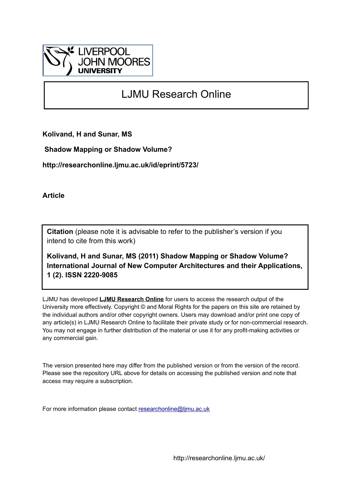

# LJMU Research Online

**Kolivand, H and Sunar, MS**

 **Shadow Mapping or Shadow Volume?**

**http://researchonline.ljmu.ac.uk/id/eprint/5723/**

**Article**

**Citation** (please note it is advisable to refer to the publisher's version if you intend to cite from this work)

**Kolivand, H and Sunar, MS (2011) Shadow Mapping or Shadow Volume? International Journal of New Computer Architectures and their Applications, 1 (2). ISSN 2220-9085** 

LJMU has developed **[LJMU Research Online](http://researchonline.ljmu.ac.uk/)** for users to access the research output of the University more effectively. Copyright © and Moral Rights for the papers on this site are retained by the individual authors and/or other copyright owners. Users may download and/or print one copy of any article(s) in LJMU Research Online to facilitate their private study or for non-commercial research. You may not engage in further distribution of the material or use it for any profit-making activities or any commercial gain.

The version presented here may differ from the published version or from the version of the record. Please see the repository URL above for details on accessing the published version and note that access may require a subscription.

For more information please contact [researchonline@ljmu.ac.uk](mailto:researchonline@ljmu.ac.uk)

http://researchonline.ljmu.ac.uk/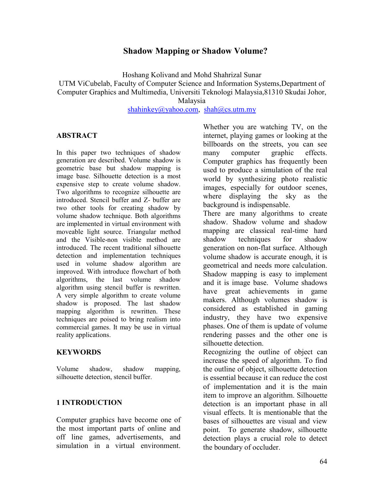## **Shadow Mapping or Shadow Volume?**

Hoshang Kolivand and Mohd Shahrizal Sunar

UTM ViCubelab, Faculty of Computer Science and Information Systems,Department of Computer Graphics and Multimedia, Universiti Teknologi Malaysia,81310 Skudai Johor,

Malaysia

shahinkey@yahoo.com, shah@cs.utm.my

#### **ABSTRACT**

In this paper two techniques of shadow generation are described. Volume shadow is geometric base but shadow mapping is image base. Silhouette detection is a most expensive step to create volume shadow. Two algorithms to recognize silhouette are introduced. Stencil buffer and Z- buffer are two other tools for creating shadow by volume shadow technique. Both algorithms are implemented in virtual environment with moveable light source. Triangular method and the Visible-non visible method are introduced. The recent traditional silhouette detection and implementation techniques used in volume shadow algorithm are improved. With introduce flowchart of both algorithms, the last volume shadow algorithm using stencil buffer is rewritten. A very simple algorithm to create volume shadow is proposed. The last shadow mapping algorithm is rewritten. These techniques are poised to bring realism into commercial games. It may be use in virtual reality applications.

#### **KEYWORDS**

Volume shadow, shadow mapping, silhouette detection, stencil buffer.

#### **1 INTRODUCTION**

Computer graphics have become one of the most important parts of online and off line games, advertisements, and simulation in a virtual environment.

Whether you are watching TV, on the internet, playing games or looking at the billboards on the streets, you can see many computer graphic effects. Computer graphics has frequently been used to produce a simulation of the real world by synthesizing photo realistic images, especially for outdoor scenes, where displaying the sky as the background is indispensable.

There are many algorithms to create shadow. Shadow volume and shadow mapping are classical real-time hard shadow techniques for shadow generation on non-flat surface. Although volume shadow is accurate enough, it is geometrical and needs more calculation. Shadow mapping is easy to implement and it is image base. Volume shadows have great achievements in game makers. Although volumes shadow is considered as established in gaming industry, they have two expensive phases. One of them is update of volume rendering passes and the other one is silhouette detection.

Recognizing the outline of object can increase the speed of algorithm. To find the outline of object, silhouette detection is essential because it can reduce the cost of implementation and it is the main item to improve an algorithm. Silhouette detection is an important phase in all visual effects. It is mentionable that the bases of silhouettes are visual and view point. To generate shadow, silhouette detection plays a crucial role to detect the boundary of occluder.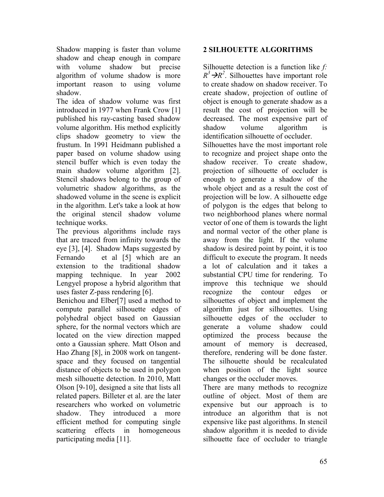Shadow mapping is faster than volume shadow and cheap enough in compare with volume shadow but precise algorithm of volume shadow is more important reason to using volume shadow.

The idea of shadow volume was first introduced in 1977 when Frank Crow [1] published his ray-casting based shadow volume algorithm. His method explicitly clips shadow geometry to view the frustum. In 1991 Heidmann published a paper based on volume shadow using stencil buffer which is even today the main shadow volume algorithm [2]. Stencil shadows belong to the group of volumetric shadow algorithms, as the shadowed volume in the scene is explicit in the algorithm. Let's take a look at how the original stencil shadow volume technique works.

The previous algorithms include rays that are traced from infinity towards the eye [3], [4]. Shadow Maps suggested by Fernando et al [5] which are an extension to the traditional shadow mapping technique. In year 2002 Lengyel propose a hybrid algorithm that uses faster Z-pass rendering [6].

Benichou and Elber[7] used a method to compute parallel silhouette edges of polyhedral object based on Gaussian sphere, for the normal vectors which are located on the view direction mapped onto a Gaussian sphere. Matt Olson and Hao Zhang [8], in 2008 work on tangentspace and they focused on tangential distance of objects to be used in polygon mesh silhouette detection. In 2010, Matt Olson [9-10], designed a site that lists all related papers. Billeter et al. are the later researchers who worked on volumetric shadow. They introduced a more efficient method for computing single scattering effects in homogeneous participating media [11].

### **2 SILHOUETTE ALGORITHMS**

Silhouette detection is a function like *f:*   $R^3 \rightarrow R^2$ . Silhouettes have important role to create shadow on shadow receiver. To create shadow, projection of outline of object is enough to generate shadow as a result the cost of projection will be decreased. The most expensive part of shadow volume algorithm is identification silhouette of occluder.

Silhouettes have the most important role to recognize and project shape onto the shadow receiver. To create shadow, projection of silhouette of occluder is enough to generate a shadow of the whole object and as a result the cost of projection will be low. A silhouette edge of polygon is the edges that belong to two neighborhood planes where normal vector of one of them is towards the light and normal vector of the other plane is away from the light. If the volume shadow is desired point by point, it is too difficult to execute the program. It needs a lot of calculation and it takes a substantial CPU time for rendering. To improve this technique we should recognize the contour edges or silhouettes of object and implement the algorithm just for silhouettes. Using silhouette edges of the occluder to generate a volume shadow could optimized the process because the amount of memory is decreased, therefore, rendering will be done faster. The silhouette should be recalculated when position of the light source changes or the occluder moves.

There are many methods to recognize outline of object. Most of them are expensive but our approach is to introduce an algorithm that is not expensive like past algorithms. In stencil shadow algorithm it is needed to divide silhouette face of occluder to triangle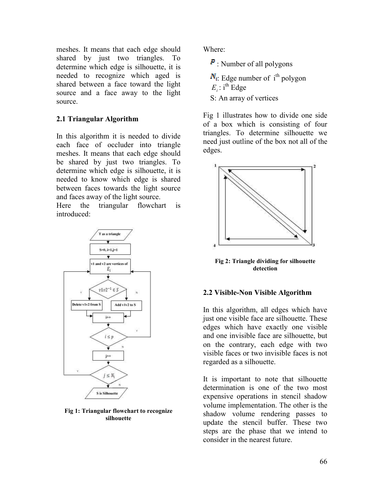meshes. It means that each edge should shared by just two triangles. To determine which edge is silhouette, it is needed to recognize which aged is shared between a face toward the light source and a face away to the light source.

#### **2.1 Triangular Algorithm**

In this algorithm it is needed to divide each face of occluder into triangle meshes. It means that each edge should be shared by just two triangles. To determine which edge is silhouette, it is needed to know which edge is shared between faces towards the light source and faces away of the light source.

Here the triangular flowchart is introduced:



**Fig 1: Triangular flowchart to recognize silhouette**

Where:

- P: Number of all polygons
- $N_i$ : Edge number of i<sup>th</sup> polygon
- $E_i$ : i<sup>th</sup> Edge
- S: An array of vertices

Fig 1 illustrates how to divide one side of a box which is consisting of four triangles. To determine silhouette we need just outline of the box not all of the edges.



**Fig 2: Triangle dividing for silhouette detection** 

#### **2.2 Visible-Non Visible Algorithm**

In this algorithm, all edges which have just one visible face are silhouette. These edges which have exactly one visible and one invisible face are silhouette, but on the contrary, each edge with two visible faces or two invisible faces is not regarded as a silhouette.

It is important to note that silhouette determination is one of the two most expensive operations in stencil shadow volume implementation. The other is the shadow volume rendering passes to update the stencil buffer. These two steps are the phase that we intend to consider in the nearest future.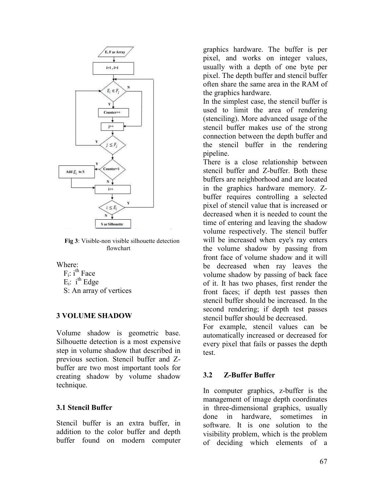

**Fig 3**: Visible-non visible silhouette detection flowchart

Where:

```
F_i: i<sup>th</sup> Face
```

```
E_i: i<sup>th</sup> Edge
```
S: An array of vertices

#### **3 VOLUME SHADOW**

Volume shadow is geometric base. Silhouette detection is a most expensive step in volume shadow that described in previous section. Stencil buffer and Zbuffer are two most important tools for creating shadow by volume shadow technique.

#### **3.1 Stencil Buffer**

Stencil buffer is an extra buffer, in addition to the color buffer and depth buffer found on modern computer

graphics hardware. The buffer is per pixel, and works on integer values, usually with a depth of one byte per pixel. The depth buffer and stencil buffer often share the same area in the RAM of the graphics hardware.

In the simplest case, the stencil buffer is used to limit the area of rendering (stenciling). More advanced usage of the stencil buffer makes use of the strong connection between the depth buffer and the stencil buffer in the rendering pipeline.

There is a close relationship between stencil buffer and Z-buffer. Both these buffers are neighborhood and are located in the graphics hardware memory. Zbuffer requires controlling a selected pixel of stencil value that is increased or decreased when it is needed to count the time of entering and leaving the shadow volume respectively. The stencil buffer will be increased when eye's ray enters the volume shadow by passing from front face of volume shadow and it will be decreased when ray leaves the volume shadow by passing of back face of it. It has two phases, first render the front faces; if depth test passes then stencil buffer should be increased. In the second rendering; if depth test passes stencil buffer should be decreased.

For example, stencil values can be automatically increased or decreased for every pixel that fails or passes the depth test.

#### **3.2 Z-Buffer Buffer**

In computer graphics, z-buffer is the management of image depth coordinates in three-dimensional graphics, usually done in hardware, sometimes in software. It is one solution to the visibility problem, which is the problem of deciding which elements of a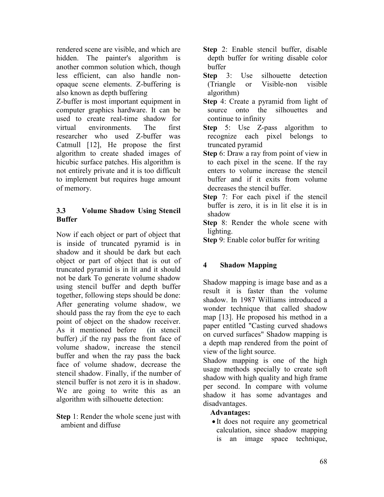rendered scene are visible, and which are hidden. The painter's algorithm is another common solution which, though less efficient, can also handle nonopaque scene elements. Z-buffering is also known as depth buffering

Z-buffer is most important equipment in computer graphics hardware. It can be used to create real-time shadow for virtual environments. The first researcher who used Z-buffer was Catmull [12], He propose the first algorithm to create shaded images of hicubic surface patches. His algorithm is not entirely private and it is too difficult to implement but requires huge amount of memory.

#### **3.3 Volume Shadow Using Stencil Buffer**

Now if each object or part of object that is inside of truncated pyramid is in shadow and it should be dark but each object or part of object that is out of truncated pyramid is in lit and it should not be dark To generate volume shadow using stencil buffer and depth buffer together, following steps should be done: After generating volume shadow, we should pass the ray from the eye to each point of object on the shadow receiver. As it mentioned before (in stencil buffer) ,if the ray pass the front face of volume shadow, increase the stencil buffer and when the ray pass the back face of volume shadow, decrease the stencil shadow. Finally, if the number of stencil buffer is not zero it is in shadow. We are going to write this as an algorithm with silhouette detection:

**Step** 1: Render the whole scene just with ambient and diffuse

- **Step** 2: Enable stencil buffer, disable depth buffer for writing disable color buffer
- **Step** 3: Use silhouette detection (Triangle or Visible-non visible algorithm)
- **Step** 4: Create a pyramid from light of source onto the silhouettes and continue to infinity
- **Step** 5: Use Z-pass algorithm to recognize each pixel belongs to truncated pyramid
- **Step** 6: Draw a ray from point of view in to each pixel in the scene. If the ray enters to volume increase the stencil buffer and if it exits from volume decreases the stencil buffer.
- **Step** 7: For each pixel if the stencil buffer is zero, it is in lit else it is in shadow
- **Step** 8: Render the whole scene with lighting.
- **Step** 9: Enable color buffer for writing

## **4 Shadow Mapping**

Shadow mapping is image base and as a result it is faster than the volume shadow. In 1987 Williams introduced a wonder technique that called shadow map [13]. He proposed his method in a paper entitled "Casting curved shadows on curved surfaces" Shadow mapping is a depth map rendered from the point of view of the light source.

Shadow mapping is one of the high usage methods specially to create soft shadow with high quality and high frame per second. In compare with volume shadow it has some advantages and disadvantages.

## **Advantages:**

• It does not require any geometrical calculation, since shadow mapping is an image space technique,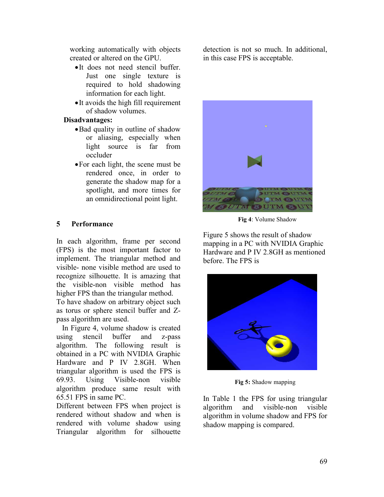working automatically with objects created or altered on the GPU.

- •It does not need stencil buffer. Just one single texture is required to hold shadowing information for each light.
- •It avoids the high fill requirement of shadow volumes.

#### **Disadvantages:**

- •Bad quality in outline of shadow or aliasing, especially when light source is far from occluder
- •For each light, the scene must be rendered once, in order to generate the shadow map for a spotlight, and more times for an omnidirectional point light.

## **5 Performance**

In each algorithm, frame per second (FPS) is the most important factor to implement. The triangular method and visible- none visible method are used to recognize silhouette. It is amazing that the visible-non visible method has higher FPS than the triangular method. To have shadow on arbitrary object such as torus or sphere stencil buffer and Zpass algorithm are used.

 In Figure 4, volume shadow is created using stencil buffer and z-pass algorithm. The following result is obtained in a PC with NVIDIA Graphic Hardware and P IV 2.8GH. When triangular algorithm is used the FPS is 69.93. Using Visible-non visible algorithm produce same result with 65.51 FPS in same PC.

Different between FPS when project is rendered without shadow and when is rendered with volume shadow using Triangular algorithm for silhouette

detection is not so much. In additional, in this case FPS is acceptable.



**Fig 4**: Volume Shadow

Figure 5 shows the result of shadow mapping in a PC with NVIDIA Graphic Hardware and P IV 2.8GH as mentioned before. The FPS is



**Fig 5:** Shadow mapping

In Table 1 the FPS for using triangular algorithm and visible-non visible algorithm in volume shadow and FPS for shadow mapping is compared.